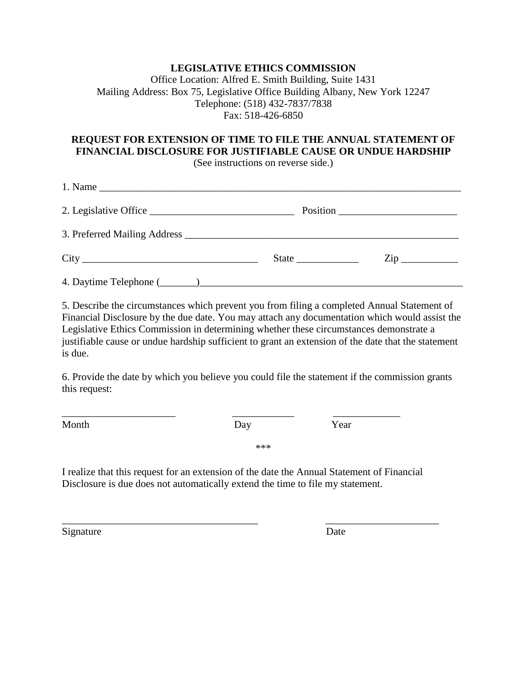## **LEGISLATIVE ETHICS COMMISSION**

Office Location: Alfred E. Smith Building, Suite 1431 Mailing Address: Box 75, Legislative Office Building Albany, New York 12247 Telephone: (518) 432-7837/7838 Fax: 518-426-6850

## **REQUEST FOR EXTENSION OF TIME TO FILE THE ANNUAL STATEMENT OF FINANCIAL DISCLOSURE FOR JUSTIFIABLE CAUSE OR UNDUE HARDSHIP**

(See instructions on reverse side.)

| 2. Legislative Office |                     |
|-----------------------|---------------------|
|                       |                     |
|                       | $\mathsf{Zip} \_\_$ |
|                       |                     |

5. Describe the circumstances which prevent you from filing a completed Annual Statement of Financial Disclosure by the due date. You may attach any documentation which would assist the Legislative Ethics Commission in determining whether these circumstances demonstrate a justifiable cause or undue hardship sufficient to grant an extension of the date that the statement is due.

6. Provide the date by which you believe you could file the statement if the commission grants this request:

Month Day Day Year

\_\_\_\_\_\_\_\_\_\_\_\_\_\_\_\_\_\_\_\_\_\_ \_\_\_\_\_\_\_\_\_\_\_\_ \_\_\_\_\_\_\_\_\_\_\_\_\_

\*\*\*

I realize that this request for an extension of the date the Annual Statement of Financial Disclosure is due does not automatically extend the time to file my statement.

\_\_\_\_\_\_\_\_\_\_\_\_\_\_\_\_\_\_\_\_\_\_\_\_\_\_\_\_\_\_\_\_\_\_\_\_\_\_ \_\_\_\_\_\_\_\_\_\_\_\_\_\_\_\_\_\_\_\_\_\_

Signature Date